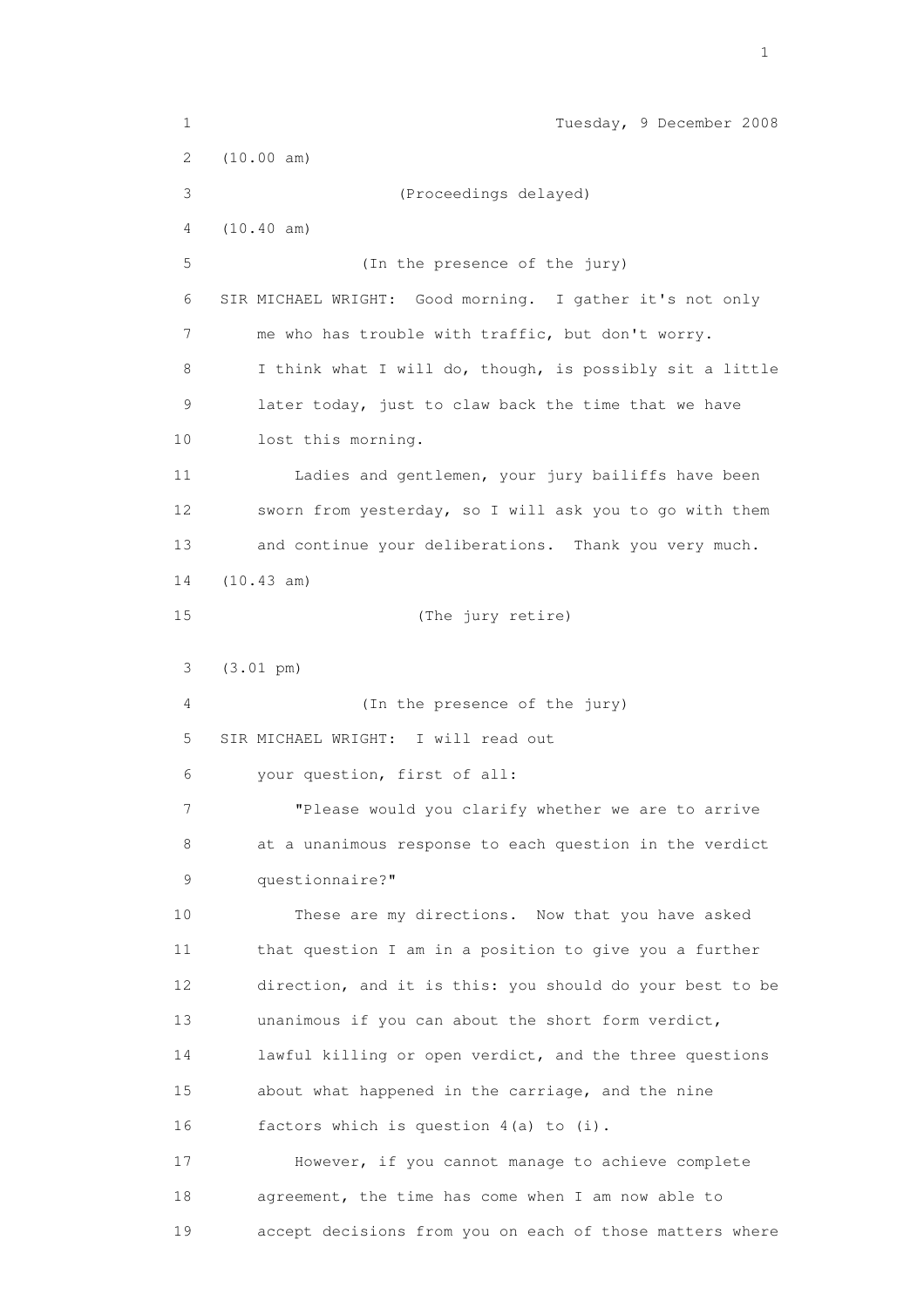1 Tuesday, 9 December 2008 2 (10.00 am) 3 (Proceedings delayed) 4 (10.40 am) 5 (In the presence of the jury) 6 SIR MICHAEL WRIGHT: Good morning. I gather it's not only 7 me who has trouble with traffic, but don't worry. 8 I think what I will do, though, is possibly sit a little 9 later today, just to claw back the time that we have 10 lost this morning. 11 Ladies and gentlemen, your jury bailiffs have been 12 sworn from yesterday, so I will ask you to go with them 13 and continue your deliberations. Thank you very much. 14 (10.43 am) 15 (The jury retire) 3 (3.01 pm) 4 (In the presence of the jury) 5 SIR MICHAEL WRIGHT: I will read out 6 your question, first of all: 7 "Please would you clarify whether we are to arrive 8 at a unanimous response to each question in the verdict 9 questionnaire?" 10 These are my directions. Now that you have asked 11 that question I am in a position to give you a further 12 direction, and it is this: you should do your best to be 13 unanimous if you can about the short form verdict, 14 lawful killing or open verdict, and the three questions 15 about what happened in the carriage, and the nine 16 factors which is question 4(a) to (i). 17 However, if you cannot manage to achieve complete 18 agreement, the time has come when I am now able to 19 accept decisions from you on each of those matters where

the contract of the contract of the contract of the contract of the contract of the contract of the contract of the contract of the contract of the contract of the contract of the contract of the contract of the contract o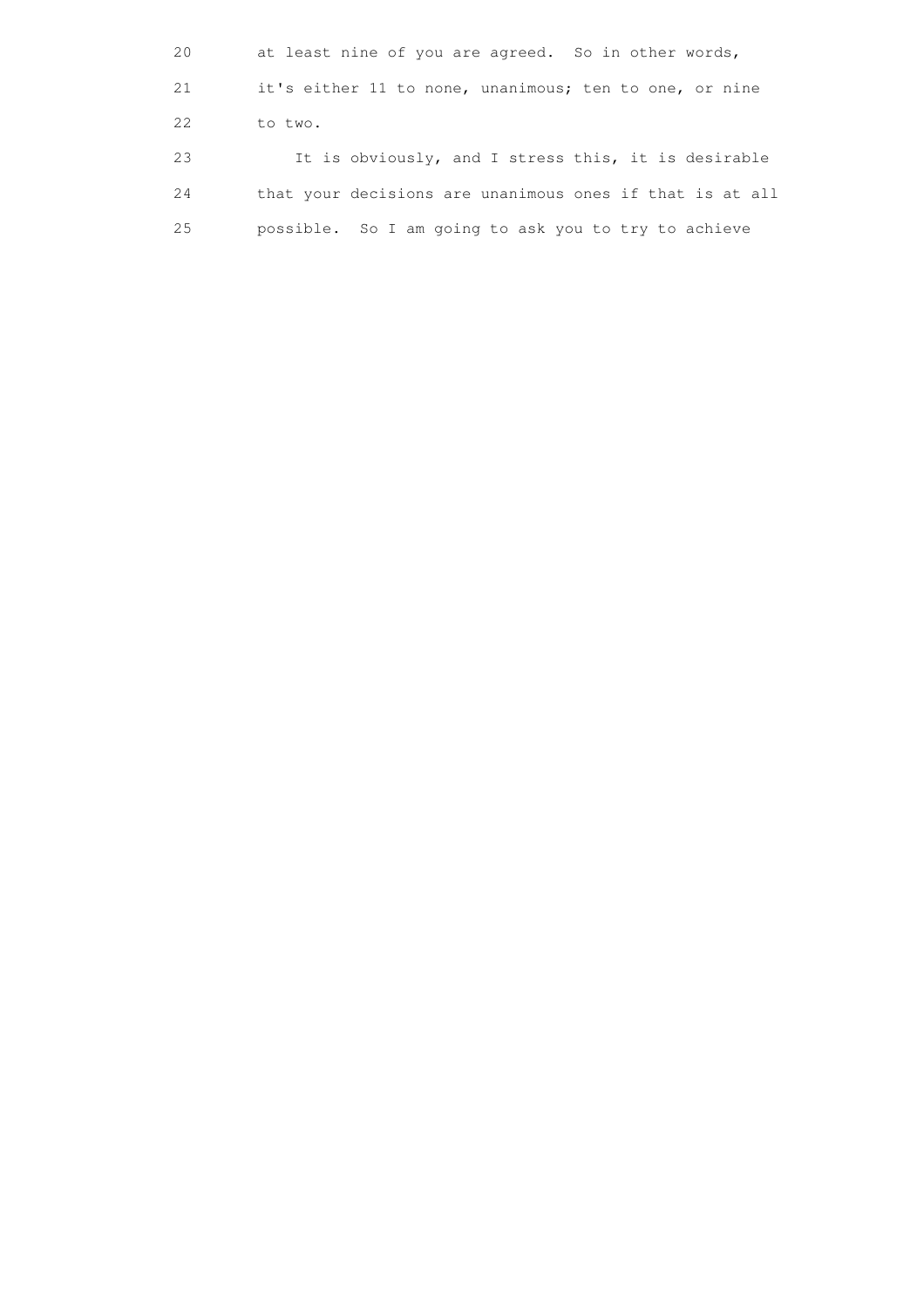20 at least nine of you are agreed. So in other words, 21 it's either 11 to none, unanimous; ten to one, or nine 22 to two. 23 It is obviously, and I stress this, it is desirable 24 that your decisions are unanimous ones if that is at all 25 possible. So I am going to ask you to try to achieve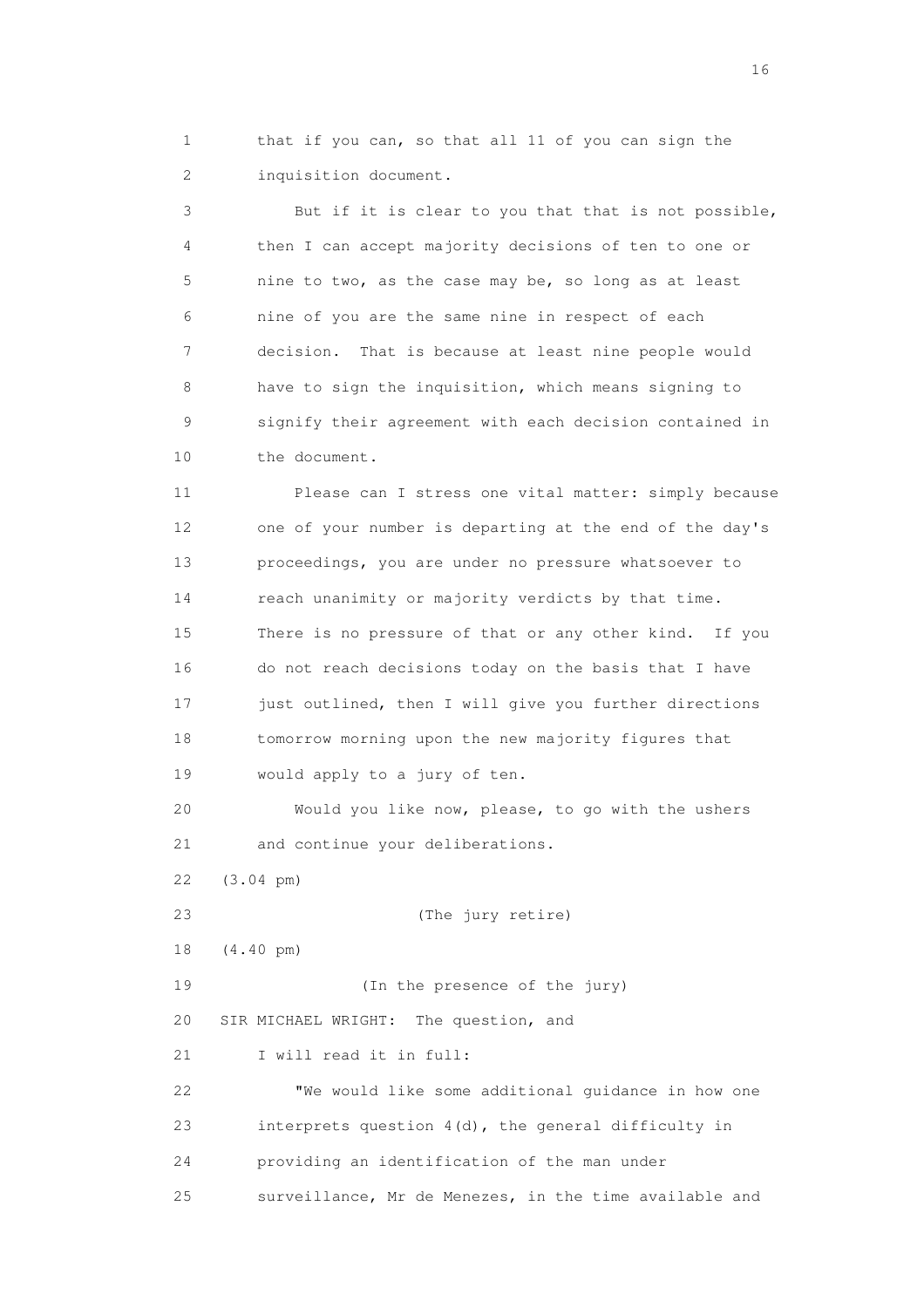1 that if you can, so that all 11 of you can sign the 2 inquisition document.

 3 But if it is clear to you that that is not possible, 4 then I can accept majority decisions of ten to one or 5 nine to two, as the case may be, so long as at least 6 nine of you are the same nine in respect of each 7 decision. That is because at least nine people would 8 have to sign the inquisition, which means signing to 9 signify their agreement with each decision contained in 10 the document.

 11 Please can I stress one vital matter: simply because 12 one of your number is departing at the end of the day's 13 proceedings, you are under no pressure whatsoever to 14 reach unanimity or majority verdicts by that time. 15 There is no pressure of that or any other kind. If you 16 do not reach decisions today on the basis that I have 17 just outlined, then I will give you further directions 18 tomorrow morning upon the new majority figures that 19 would apply to a jury of ten.

 20 Would you like now, please, to go with the ushers 21 and continue your deliberations.

22 (3.04 pm)

 23 (The jury retire) 18 (4.40 pm) 19 (In the presence of the jury) 20 SIR MICHAEL WRIGHT: The question, and 21 I will read it in full: 22 "We would like some additional guidance in how one 23 interprets question 4(d), the general difficulty in 24 providing an identification of the man under

25 surveillance, Mr de Menezes, in the time available and

16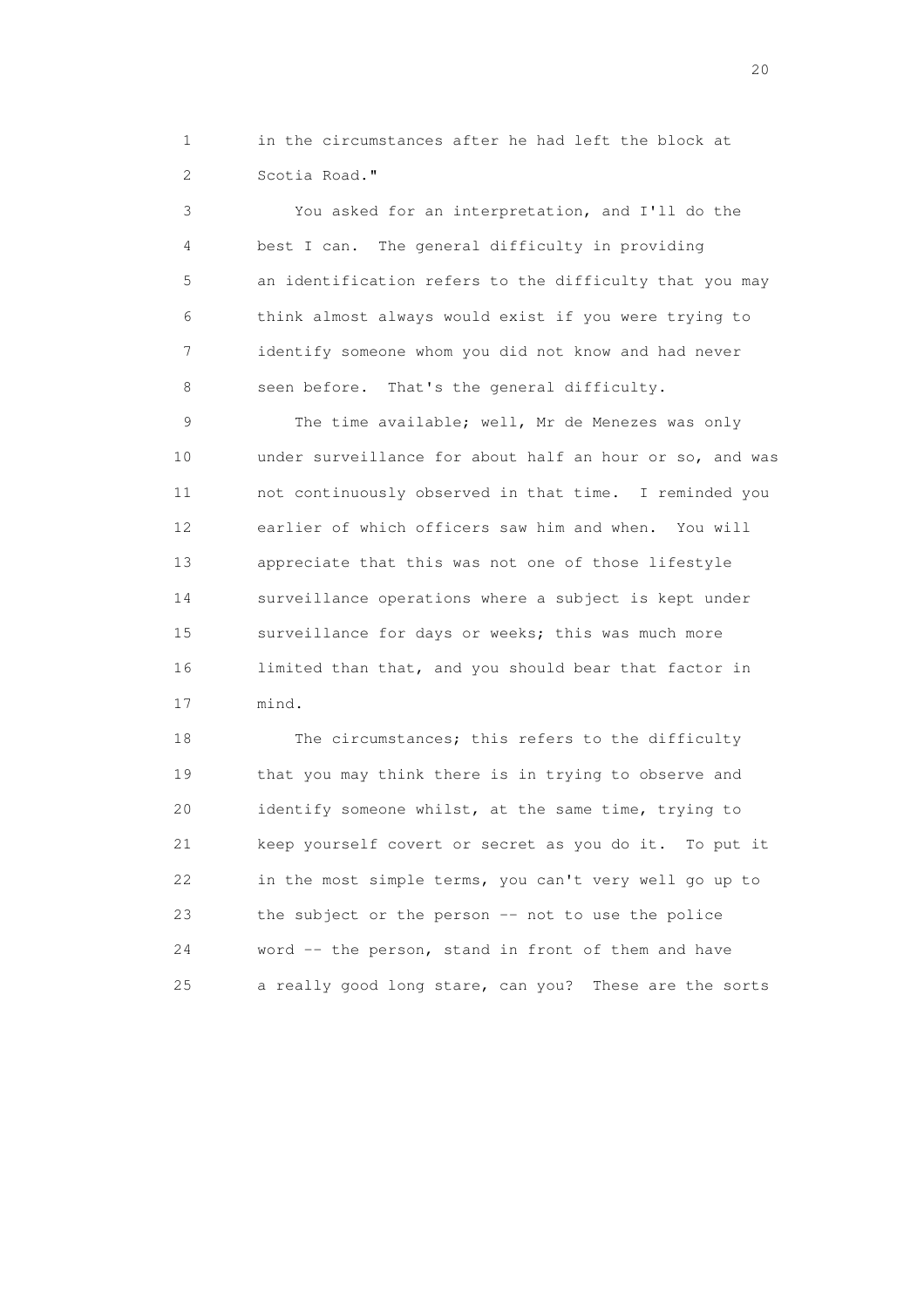1 in the circumstances after he had left the block at 2 Scotia Road."

 3 You asked for an interpretation, and I'll do the 4 best I can. The general difficulty in providing 5 an identification refers to the difficulty that you may 6 think almost always would exist if you were trying to 7 identify someone whom you did not know and had never 8 seen before. That's the general difficulty.

9 The time available; well, Mr de Menezes was only 10 under surveillance for about half an hour or so, and was 11 not continuously observed in that time. I reminded you 12 earlier of which officers saw him and when. You will 13 appreciate that this was not one of those lifestyle 14 surveillance operations where a subject is kept under 15 surveillance for days or weeks; this was much more 16 limited than that, and you should bear that factor in 17 mind.

 18 The circumstances; this refers to the difficulty 19 that you may think there is in trying to observe and 20 identify someone whilst, at the same time, trying to 21 keep yourself covert or secret as you do it. To put it 22 in the most simple terms, you can't very well go up to 23 the subject or the person -- not to use the police 24 word -- the person, stand in front of them and have 25 a really good long stare, can you? These are the sorts

20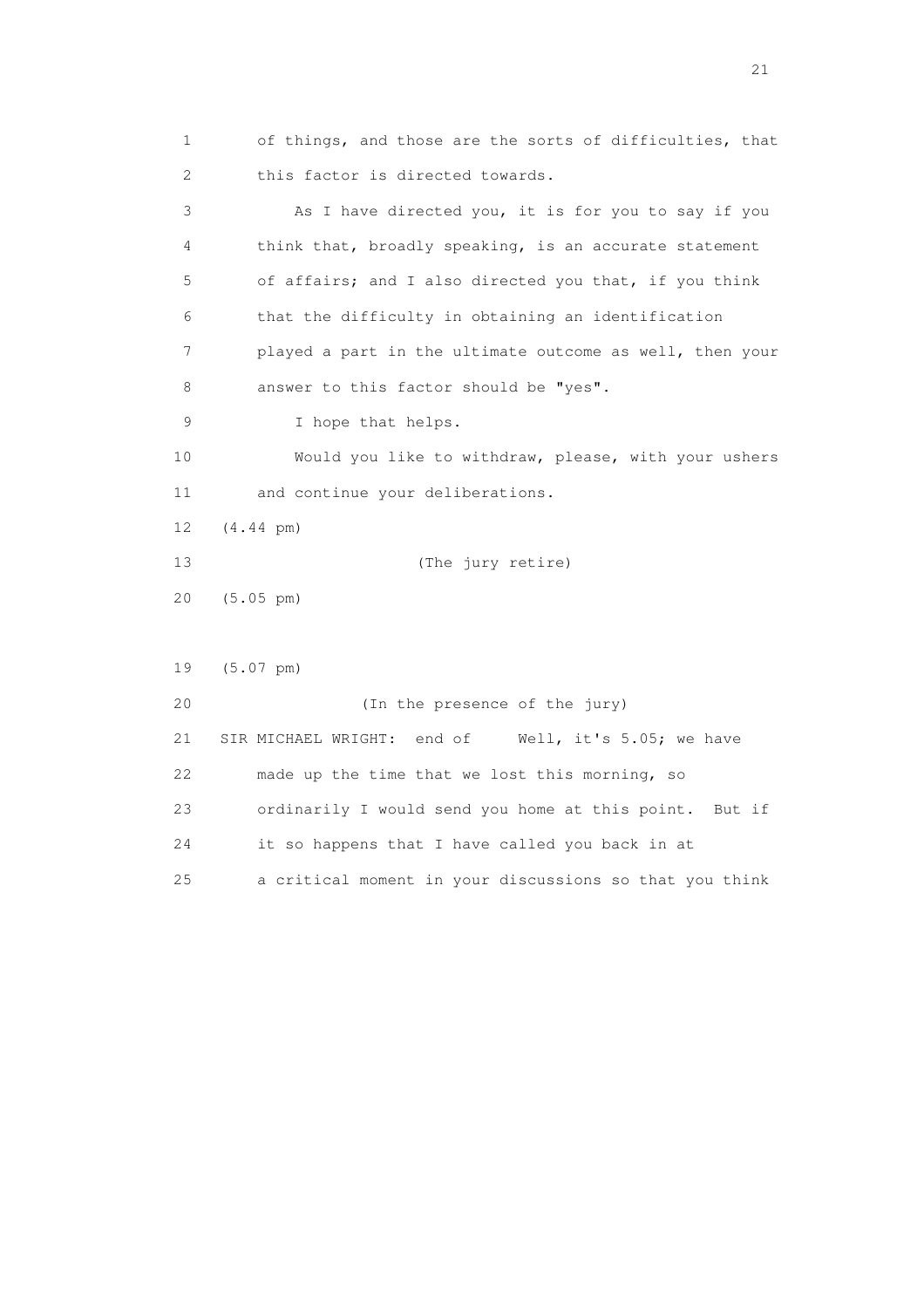1 of things, and those are the sorts of difficulties, that 2 this factor is directed towards. 3 As I have directed you, it is for you to say if you 4 think that, broadly speaking, is an accurate statement 5 of affairs; and I also directed you that, if you think 6 that the difficulty in obtaining an identification 7 played a part in the ultimate outcome as well, then your 8 answer to this factor should be "yes". 9 I hope that helps. 10 Would you like to withdraw, please, with your ushers 11 and continue your deliberations. 12 (4.44 pm) 13 (The jury retire) 20 (5.05 pm) 19 (5.07 pm) 20 (In the presence of the jury) 21 SIR MICHAEL WRIGHT: end of Well, it's 5.05; we have 22 made up the time that we lost this morning, so 23 ordinarily I would send you home at this point. But if 24 it so happens that I have called you back in at 25 a critical moment in your discussions so that you think

21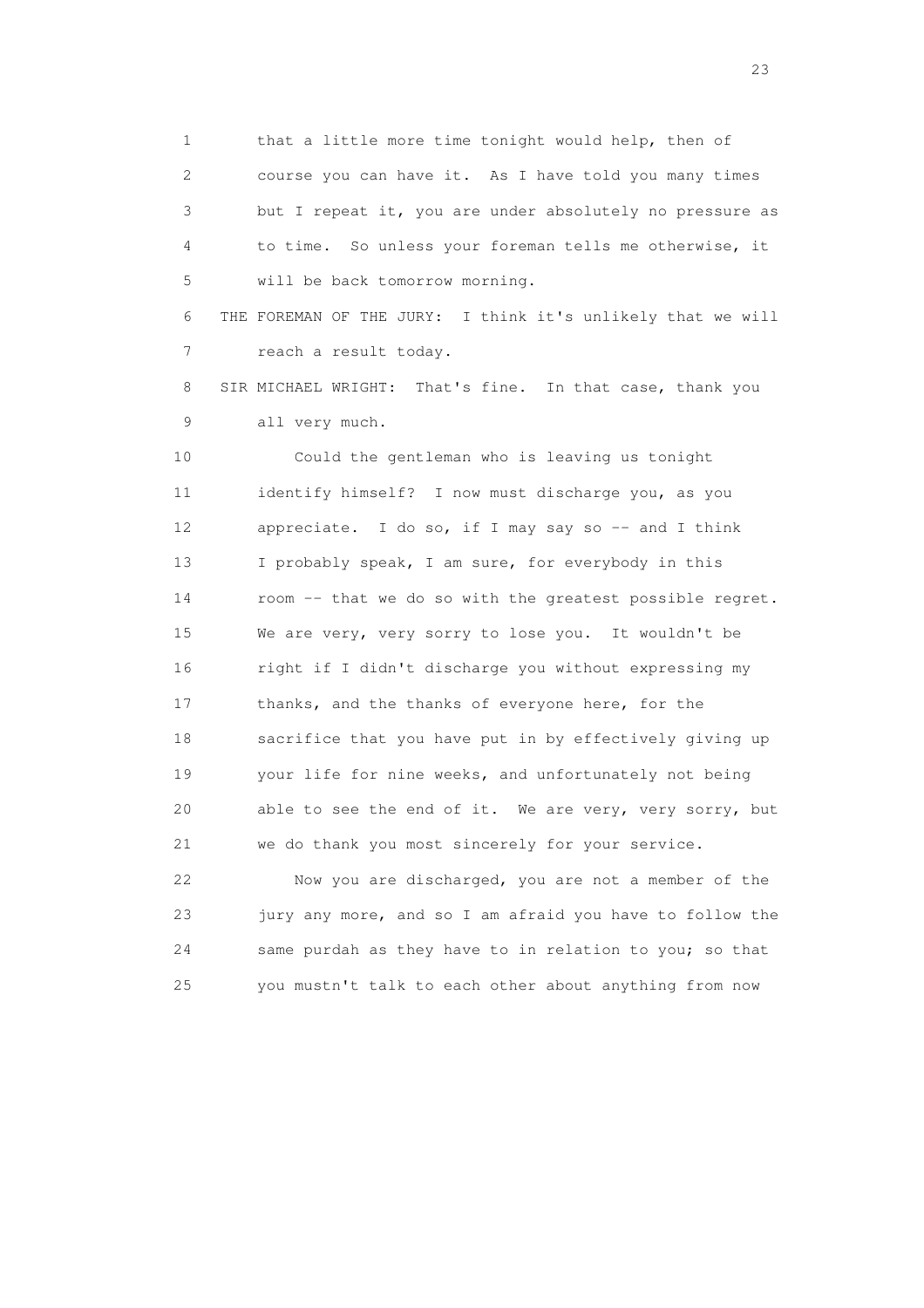1 that a little more time tonight would help, then of 2 course you can have it. As I have told you many times 3 but I repeat it, you are under absolutely no pressure as 4 to time. So unless your foreman tells me otherwise, it 5 will be back tomorrow morning.

 6 THE FOREMAN OF THE JURY: I think it's unlikely that we will 7 reach a result today.

 8 SIR MICHAEL WRIGHT: That's fine. In that case, thank you 9 all very much.

 10 Could the gentleman who is leaving us tonight 11 identify himself? I now must discharge you, as you 12 appreciate. I do so, if I may say so -- and I think 13 I probably speak, I am sure, for everybody in this 14 room -- that we do so with the greatest possible regret. 15 We are very, very sorry to lose you. It wouldn't be 16 right if I didn't discharge you without expressing my 17 thanks, and the thanks of everyone here, for the 18 sacrifice that you have put in by effectively giving up 19 your life for nine weeks, and unfortunately not being 20 able to see the end of it. We are very, very sorry, but 21 we do thank you most sincerely for your service.

 22 Now you are discharged, you are not a member of the 23 jury any more, and so I am afraid you have to follow the 24 same purdah as they have to in relation to you; so that 25 you mustn't talk to each other about anything from now

23 and 23 and 23 and 23 and 23 and 23 and 23 and 23 and 23 and 23 and 23 and 23 and 23 and 23 and 23 and 23 and 24 and 25 and 25 and 26 and 26 and 26 and 26 and 26 and 26 and 26 and 26 and 26 and 26 and 26 and 26 and 26 an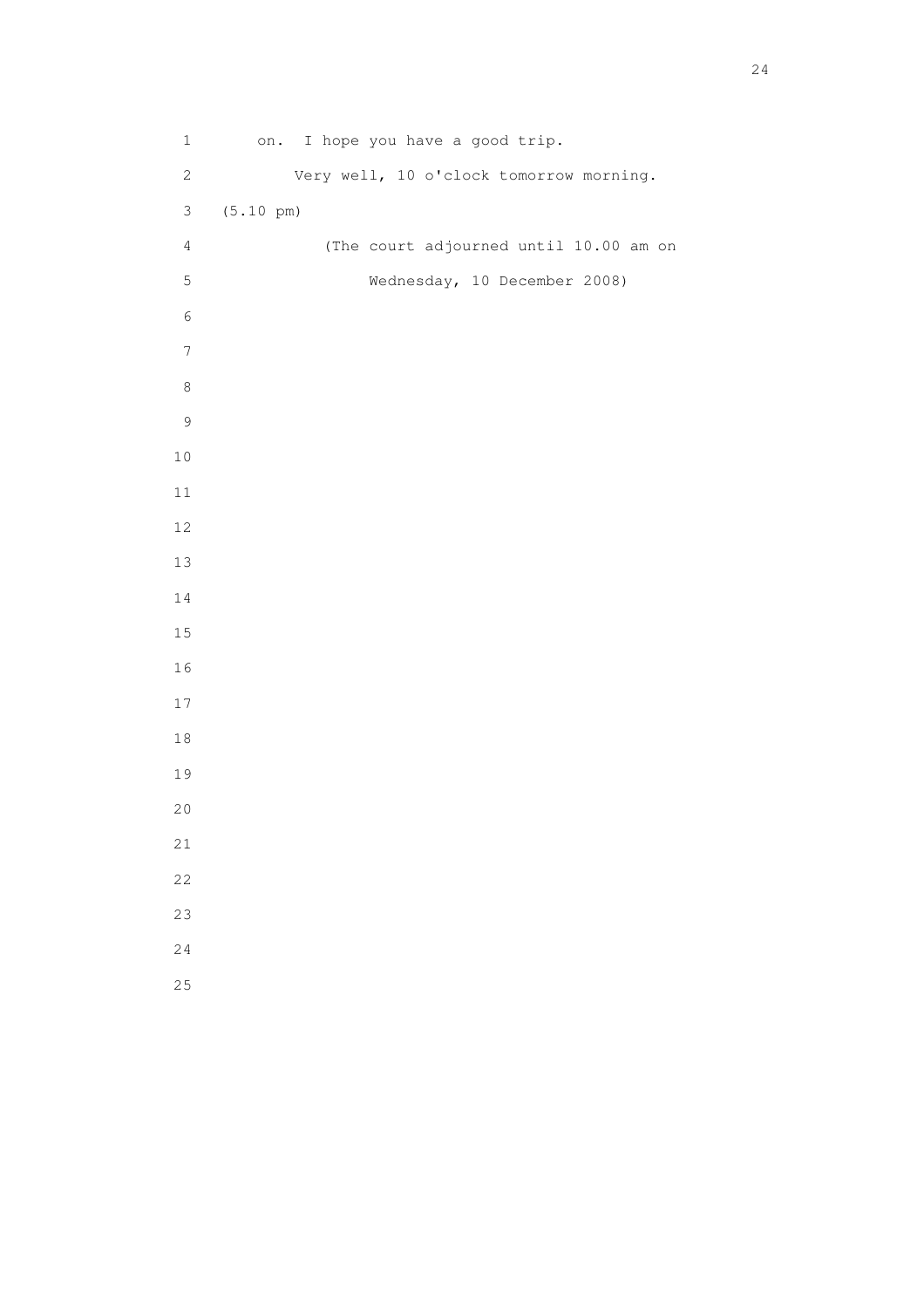1 on. I hope you have a good trip. 2 Very well, 10 o'clock tomorrow morning. 3 (5.10 pm) 4 (The court adjourned until 10.00 am on 5 Wednesday, 10 December 2008)